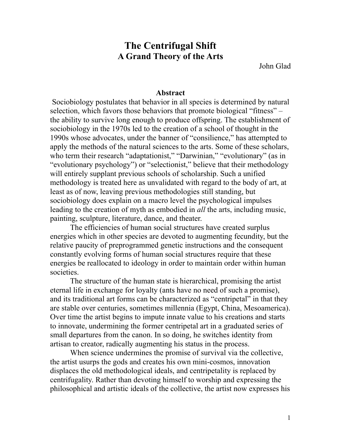# **The Centrifugal Shift A Grand Theory of the Arts**

John Glad

#### **Abstract**

 Sociobiology postulates that behavior in all species is determined by natural selection, which favors those behaviors that promote biological "fitness" – the ability to survive long enough to produce offspring. The establishment of sociobiology in the 1970s led to the creation of a school of thought in the 1990s whose advocates, under the banner of "consilience," has attempted to apply the methods of the natural sciences to the arts. Some of these scholars, who term their research "adaptationist," "Darwinian," "evolutionary" (as in "evolutionary psychology") or "selectionist," believe that their methodology will entirely supplant previous schools of scholarship. Such a unified methodology is treated here as unvalidated with regard to the body of art, at least as of now, leaving previous methodologies still standing, but sociobiology does explain on a macro level the psychological impulses leading to the creation of myth as embodied in *all* the arts, including music, painting, sculpture, literature, dance, and theater.

The efficiencies of human social structures have created surplus energies which in other species are devoted to augmenting fecundity, but the relative paucity of preprogrammed genetic instructions and the consequent constantly evolving forms of human social structures require that these energies be reallocated to ideology in order to maintain order within human societies.

The structure of the human state is hierarchical, promising the artist eternal life in exchange for loyalty (ants have no need of such a promise), and its traditional art forms can be characterized as "centripetal" in that they are stable over centuries, sometimes millennia (Egypt, China, Mesoamerica). Over time the artist begins to impute innate value to his creations and starts to innovate, undermining the former centripetal art in a graduated series of small departures from the canon. In so doing, he switches identity from artisan to creator, radically augmenting his status in the process.

When science undermines the promise of survival via the collective, the artist usurps the gods and creates his own mini-cosmos, innovation displaces the old methodological ideals, and centripetality is replaced by centrifugality. Rather than devoting himself to worship and expressing the philosophical and artistic ideals of the collective, the artist now expresses his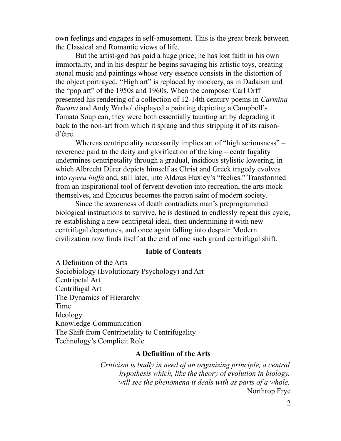own feelings and engages in self-amusement. This is the great break between the Classical and Romantic views of life.

But the artist-god has paid a huge price; he has lost faith in his own immortality, and in his despair he begins savaging his artistic toys, creating atonal music and paintings whose very essence consists in the distortion of the object portrayed. "High art" is replaced by mockery, as in Dadaism and the "pop art" of the 1950s and 1960s. When the composer Carl Orff presented his rendering of a collection of 12-14th century poems in *Carmina Burana* and Andy Warhol displayed a painting depicting a Campbell's Tomato Soup can, they were both essentially taunting art by degrading it back to the non-art from which it sprang and thus stripping it of its raisond'être.

Whereas centripetality necessarily implies art of "high seriousness" – reverence paid to the deity and glorification of the king – centrifugality undermines centripetality through a gradual, insidious stylistic lowering, in which Albrecht Dürer depicts himself as Christ and Greek tragedy evolves into *opera buffa* and, still later, into Aldous Huxley's "feelies." Transformed from an inspirational tool of fervent devotion into recreation, the arts mock themselves, and Epicurus becomes the patron saint of modern society.

Since the awareness of death contradicts man's preprogrammed biological instructions to survive, he is destined to endlessly repeat this cycle, re-establishing a new centripetal ideal, then undermining it with new centrifugal departures, and once again falling into despair. Modern civilization now finds itself at the end of one such grand centrifugal shift.

#### **Table of Contents**

A Definition of the Arts Sociobiology (Evolutionary Psychology) and Art Centripetal Art Centrifugal Art The Dynamics of Hierarchy Time Ideology Knowledge-Communication The Shift from Centripetality to Centrifugality Technology's Complicit Role

### **A Definition of the Arts**

*Criticism is badly in need of an organizing principle, a central hypothesis which, like the theory of evolution in biology, will see the phenomena it deals with as parts of a whole.* Northrop Frye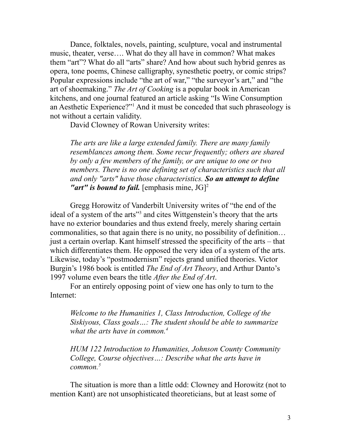Dance, folktales, novels, painting, sculpture, vocal and instrumental music, theater, verse…. What do they all have in common? What makes them "art"? What do all "arts" share? And how about such hybrid genres as opera, tone poems, Chinese calligraphy, synesthetic poetry, or comic strips? Popular expressions include "the art of war," "the surveyor's art," and "the art of shoemaking." *The Art of Cooking* is a popular book in American kitchens, and one journal featured an article asking "Is Wine Consumption an Aesthetic Experience?"[1](#page--1-0) And it must be conceded that such phraseology is not without a certain validity.

David Clowney of Rowan University writes:

*The arts are like a large extended family. There are many family resemblances among them. Some recur frequently; others are shared by only a few members of the family, or are unique to one or two members. There is no one defining set of characteristics such that all and only "arts" have those characteristics. So an attempt to define "art" is bound to fail.* [emphasis mine, JG] [2](#page--1-1)

Gregg Horowitz of Vanderbilt University writes of "the end of the ideal of a system of the arts"<sup>[3](#page--1-2)</sup> and cites Wittgenstein's theory that the arts have no exterior boundaries and thus extend freely, merely sharing certain commonalities, so that again there is no unity, no possibility of definition… just a certain overlap. Kant himself stressed the specificity of the arts – that which differentiates them. He opposed the very idea of a system of the arts. Likewise, today's "postmodernism" rejects grand unified theories. Victor Burgin's 1986 book is entitled *The End of Art Theory*, and Arthur Danto's 1997 volume even bears the title *After the End of Art*.

For an entirely opposing point of view one has only to turn to the Internet:

*Welcome to the Humanities 1, Class Introduction, College of the Siskiyous, Class goals…: The student should be able to summarize what the arts have in common.[4](#page--1-3)*

*HUM 122 Introduction to Humanities, Johnson County Community College, Course objectives…: Describe what the arts have in common.[5](#page--1-4)*

The situation is more than a little odd: Clowney and Horowitz (not to mention Kant) are not unsophisticated theoreticians, but at least some of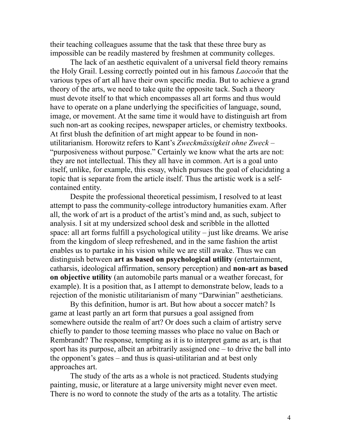their teaching colleagues assume that the task that these three bury as impossible can be readily mastered by freshmen at community colleges.

The lack of an aesthetic equivalent of a universal field theory remains the Holy Grail. Lessing correctly pointed out in his famous *Laocoön* that the various types of art all have their own specific media. But to achieve a grand theory of the arts, we need to take quite the opposite tack. Such a theory must devote itself to that which encompasses all art forms and thus would have to operate on a plane underlying the specificities of language, sound, image, or movement. At the same time it would have to distinguish art from such non-art as cooking recipes, newspaper articles, or chemistry textbooks. At first blush the definition of art might appear to be found in nonutilitarianism. Horowitz refers to Kant's *Zweckmässigkeit ohne Zweck* – "purposiveness without purpose." Certainly we know what the arts are not: they are not intellectual. This they all have in common. Art is a goal unto itself, unlike, for example, this essay, which pursues the goal of elucidating a topic that is separate from the article itself. Thus the artistic work is a selfcontained entity.

Despite the professional theoretical pessimism, I resolved to at least attempt to pass the community-college introductory humanities exam. After all, the work of art is a product of the artist's mind and, as such, subject to analysis. I sit at my undersized school desk and scribble in the allotted space: all art forms fulfill a psychological utility – just like dreams. We arise from the kingdom of sleep refreshened, and in the same fashion the artist enables us to partake in his vision while we are still awake. Thus we can distinguish between **art as based on psychological utility** (entertainment, catharsis, ideological affirmation, sensory perception) and **non-art as based on objective utility** (an automobile parts manual or a weather forecast, for example). It is a position that, as I attempt to demonstrate below, leads to a rejection of the monistic utilitarianism of many "Darwinian" aestheticians.

By this definition, humor is art. But how about a soccer match? Is game at least partly an art form that pursues a goal assigned from somewhere outside the realm of art? Or does such a claim of artistry serve chiefly to pander to those teeming masses who place no value on Bach or Rembrandt? The response, tempting as it is to interpret game as art, is that sport has its purpose, albeit an arbitrarily assigned one – to drive the ball into the opponent's gates – and thus is quasi-utilitarian and at best only approaches art.

The study of the arts as a whole is not practiced. Students studying painting, music, or literature at a large university might never even meet. There is no word to connote the study of the arts as a totality. The artistic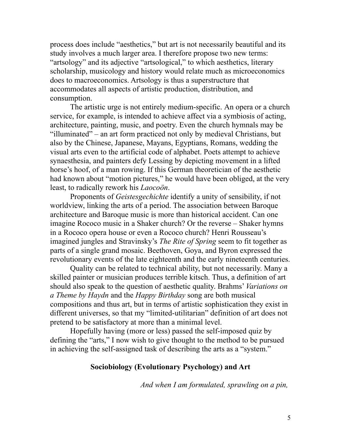process does include "aesthetics," but art is not necessarily beautiful and its study involves a much larger area. I therefore propose two new terms: "artsology" and its adjective "artsological," to which aesthetics, literary scholarship, musicology and history would relate much as microeconomics does to macroeconomics. Artsology is thus a superstructure that accommodates all aspects of artistic production, distribution, and consumption.

The artistic urge is not entirely medium-specific. An opera or a church service, for example, is intended to achieve affect via a symbiosis of acting, architecture, painting, music, and poetry. Even the church hymnals may be "illuminated" – an art form practiced not only by medieval Christians, but also by the Chinese, Japanese, Mayans, Egyptians, Romans, wedding the visual arts even to the artificial code of alphabet. Poets attempt to achieve synaesthesia, and painters defy Lessing by depicting movement in a lifted horse's hoof, of a man rowing. If this German theoretician of the aesthetic had known about "motion pictures," he would have been obliged, at the very least, to radically rework his *Laocoön*.

Proponents of *Geistesgechichte* identify a unity of sensibility, if not worldview, linking the arts of a period. The association between Baroque architecture and Baroque music is more than historical accident. Can one imagine Rococo music in a Shaker church? Or the reverse – Shaker hymns in a Rococo opera house or even a Rococo church? Henri Rousseau's imagined jungles and Stravinsky's *The Rite of Spring* seem to fit together as parts of a single grand mosaic. Beethoven, Goya, and Byron expressed the revolutionary events of the late eighteenth and the early nineteenth centuries.

Quality can be related to technical ability, but not necessarily. Many a skilled painter or musician produces terrible kitsch. Thus, a definition of art should also speak to the question of aesthetic quality. Brahms' *Variations on a Theme by Haydn* and the *Happy Birthday* song are both musical compositions and thus art, but in terms of artistic sophistication they exist in different universes, so that my "limited-utilitarian" definition of art does not pretend to be satisfactory at more than a minimal level.

Hopefully having (more or less) passed the self-imposed quiz by defining the "arts," I now wish to give thought to the method to be pursued in achieving the self-assigned task of describing the arts as a "system."

### **Sociobiology (Evolutionary Psychology) and Art**

*And when I am formulated, sprawling on a pin,*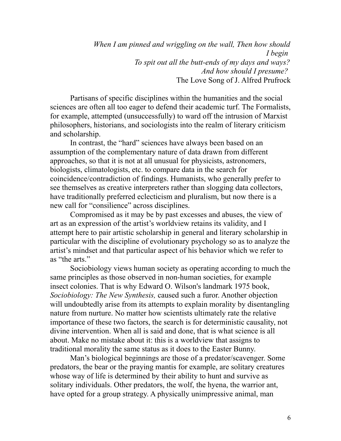*When I am pinned and wriggling on the wall, Then how should I begin To spit out all the butt-ends of my days and ways? And how should I presume?*  The Love Song of J. Alfred Prufrock

Partisans of specific disciplines within the humanities and the social sciences are often all too eager to defend their academic turf. The Formalists, for example, attempted (unsuccessfully) to ward off the intrusion of Marxist philosophers, historians, and sociologists into the realm of literary criticism and scholarship.

In contrast, the "hard" sciences have always been based on an assumption of the complementary nature of data drawn from different approaches, so that it is not at all unusual for physicists, astronomers, biologists, climatologists, etc. to compare data in the search for coincidence/contradiction of findings. Humanists, who generally prefer to see themselves as creative interpreters rather than slogging data collectors, have traditionally preferred eclecticism and pluralism, but now there is a new call for "consilience" across disciplines.

Compromised as it may be by past excesses and abuses, the view of art as an expression of the artist's worldview retains its validity, and I attempt here to pair artistic scholarship in general and literary scholarship in particular with the discipline of evolutionary psychology so as to analyze the artist's mindset and that particular aspect of his behavior which we refer to as "the arts."

Sociobiology views human society as operating according to much the same principles as those observed in non-human societies, for example insect colonies. That is why [Edward O. Wilson'](http://en.wikipedia.org/wiki/E._O._Wilson)s landmark 1975 book, *[Sociobiology: The New Synthesis,](http://en.wikipedia.org/wiki/Sociobiology:_The_New_Synthesis)* caused such a furor. Another objection will undoubtedly arise from its attempts to explain morality by disentangling nature from nurture. No matter how scientists ultimately rate the relative importance of these two factors, the search is for deterministic causality, not divine intervention. When all is said and done, that is what science is all about. Make no mistake about it: this is a worldview that assigns to traditional morality the same status as it does to the Easter Bunny.

Man's biological beginnings are those of a predator/scavenger. Some predators, the bear or the praying mantis for example, are solitary creatures whose way of life is determined by their ability to hunt and survive as solitary individuals. Other predators, the wolf, the hyena, the warrior ant, have opted for a group strategy. A physically unimpressive animal, man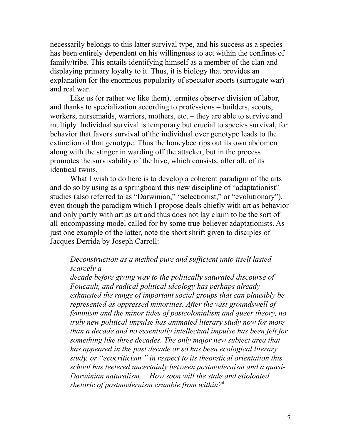necessarily belongs to this latter survival type, and his success as a species has been entirely dependent on his willingness to act within the confines of family/tribe. This entails identifying himself as a member of the clan and displaying primary loyalty to it. Thus, it is biology that provides an explanation for the enormous popularity of spectator sports (surrogate war) and real war.

Like us (or rather we like them), termites observe division of labor, and thanks to specialization according to professions – builders, scouts, workers, nursemaids, warriors, mothers, etc. – they are able to survive and multiply. Individual survival is temporary but crucial to species survival, for behavior that favors survival of the individual over genotype leads to the extinction of that genotype. Thus the honeybee rips out its own abdomen along with the stinger in warding off the attacker, but in the process promotes the survivability of the hive, which consists, after all, of its identical twins.

What I wish to do here is to develop a coherent paradigm of the arts and do so by using as a springboard this new discipline of "adaptationist" studies (also referred to as "Darwinian," "selectionist," or "evolutionary"), even though the paradigm which I propose deals chiefly with art as behavior and only partly with art as art and thus does not lay claim to be the sort of all-encompassing model called for by some true-believer adaptationists. As just one example of the latter, note the short shrift given to disciples of Jacques Derrida by Joseph Carroll:

### *Deconstruction as a method pure and sufficient unto itself lasted scarcely a*

*decade before giving way to the politically saturated discourse of Foucault, and radical political ideology has perhaps already exhausted the range of important social groups that can plausibly be represented as oppressed minorities. After the vast groundswell of feminism and the minor tides of postcolonialism and queer theory, no truly new political impulse has animated literary study now for more than a decade and no essentially intellectual impulse has been felt for something like three decades. The only major new subject area that has appeared in the past decade or so has been ecological literary study, or "ecocriticism," in respect to its theoretical orientation this school has teetered uncertainly between postmodernism and a quasi-Darwinian naturalism.... How soon will the stale and etioloated rhetoric of postmodernism crumble from within?[6](#page--1-5)*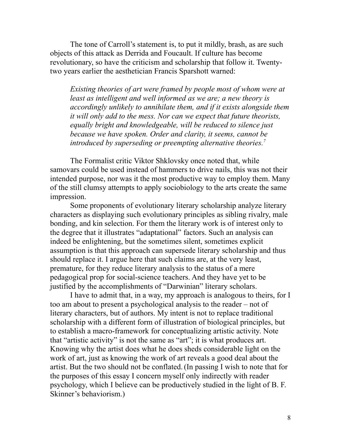The tone of Carroll's statement is, to put it mildly, brash, as are such objects of this attack as Derrida and Foucault. If culture has become revolutionary, so have the criticism and scholarship that follow it. Twentytwo years earlier the aesthetician Francis Sparshott warned:

*Existing theories of art were framed by people most of whom were at least as intelligent and well informed as we are; a new theory is accordingly unlikely to annihilate them, and if it exists alongside them it will only add to the mess. Nor can we expect that future theorists, equally bright and knowledgeable, will be reduced to silence just because we have spoken. Order and clarity, it seems, cannot be introduced by superseding or preempting alternative theories.[7](#page--1-6)*

The Formalist critic Viktor Shklovsky once noted that, while samovars could be used instead of hammers to drive nails, this was not their intended purpose, nor was it the most productive way to employ them. Many of the still clumsy attempts to apply sociobiology to the arts create the same impression.

Some proponents of evolutionary literary scholarship analyze literary characters as displaying such evolutionary principles as sibling rivalry, male bonding, and kin selection. For them the literary work is of interest only to the degree that it illustrates "adaptational" factors. Such an analysis can indeed be enlightening, but the sometimes silent, sometimes explicit assumption is that this approach can supersede literary scholarship and thus should replace it. I argue here that such claims are, at the very least, premature, for they reduce literary analysis to the status of a mere pedagogical prop for social-science teachers. And they have yet to be justified by the accomplishments of "Darwinian" literary scholars.

I have to admit that, in a way, my approach is analogous to theirs, for I too am about to present a psychological analysis to the reader – not of literary characters, but of authors. My intent is not to replace traditional scholarship with a different form of illustration of biological principles, but to establish a macro-framework for conceptualizing artistic activity. Note that "artistic activity" is not the same as "art"; it is what produces art. Knowing why the artist does what he does sheds considerable light on the work of art, just as knowing the work of art reveals a good deal about the artist. But the two should not be conflated.(In passing I wish to note that for the purposes of this essay I concern myself only indirectly with reader psychology, which I believe can be productively studied in the light of B. F. Skinner's behaviorism.)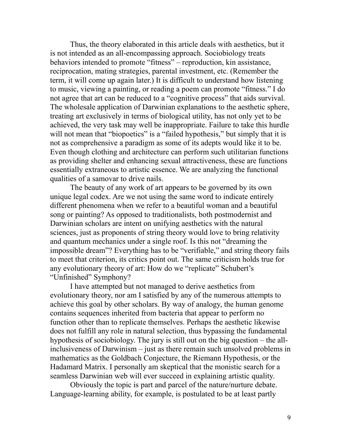Thus, the theory elaborated in this article deals with aesthetics, but it is not intended as an all-encompassing approach. Sociobiology treats behaviors intended to promote "fitness" – reproduction, kin assistance, reciprocation, mating strategies, parental investment, etc. (Remember the term, it will come up again later.) It is difficult to understand how listening to music, viewing a painting, or reading a poem can promote "fitness." I do not agree that art can be reduced to a "cognitive process" that aids survival. The wholesale application of Darwinian explanations to the aesthetic sphere, treating art exclusively in terms of biological utility, has not only yet to be achieved, the very task may well be inappropriate. Failure to take this hurdle will not mean that "biopoetics" is a "failed hypothesis," but simply that it is not as comprehensive a paradigm as some of its adepts would like it to be. Even though clothing and architecture can perform such utilitarian functions as providing shelter and enhancing sexual attractiveness, these are functions essentially extraneous to artistic essence. We are analyzing the functional qualities of a samovar to drive nails.

The beauty of any work of art appears to be governed by its own unique legal codex. Are we not using the same word to indicate entirely different phenomena when we refer to a beautiful woman and a beautiful song or painting? As opposed to traditionalists, both postmodernist and Darwinian scholars are intent on unifying aesthetics with the natural sciences, just as proponents of string theory would love to bring relativity and quantum mechanics under a single roof. Is this not "dreaming the impossible dream"? Everything has to be "verifiable," and string theory fails to meet that criterion, its critics point out. The same criticism holds true for any evolutionary theory of art: How do we "replicate" Schubert's "Unfinished" Symphony?

I have attempted but not managed to derive aesthetics from evolutionary theory, nor am I satisfied by any of the numerous attempts to achieve this goal by other scholars. By way of analogy, the human genome contains sequences inherited from bacteria that appear to perform no function other than to replicate themselves. Perhaps the aesthetic likewise does not fulfill any role in natural selection, thus bypassing the fundamental hypothesis of sociobiology. The jury is still out on the big question – the allinclusiveness of Darwinism – just as there remain such unsolved problems in mathematics as the Goldbach Conjecture, the Riemann Hypothesis, or the Hadamard Matrix. I personally am skeptical that the monistic search for a seamless Darwinian web will ever succeed in explaining artistic quality.

Obviously the topic is part and parcel of the nature/nurture debate. Language-learning ability, for example, is postulated to be at least partly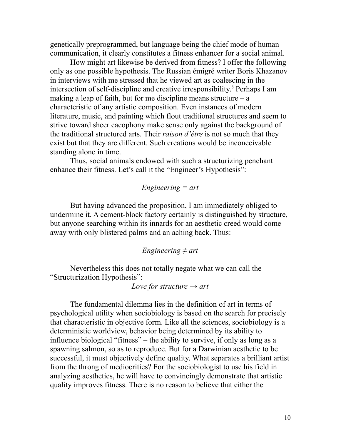genetically preprogrammed, but language being the chief mode of human communication, it clearly constitutes a fitness enhancer for a social animal.

How might art likewise be derived from fitness? I offer the following only as one possible hypothesis. The Russian émigré writer Boris Khazanov in interviews with me stressed that he viewed art as coalescing in the intersection of self-discipline and creative irresponsibility. [8](#page--1-7) Perhaps I am making a leap of faith, but for me discipline means structure – a characteristic of any artistic composition. Even instances of modern literature, music, and painting which flout traditional structures and seem to strive toward sheer cacophony make sense only against the background of the traditional structured arts. Their *raison d'être* is not so much that they exist but that they are different. Such creations would be inconceivable standing alone in time.

Thus, social animals endowed with such a structurizing penchant enhance their fitness. Let's call it the "Engineer's Hypothesis":

### *Engineering = art*

But having advanced the proposition, I am immediately obliged to undermine it. A cement-block factory certainly is distinguished by structure, but anyone searching within its innards for an aesthetic creed would come away with only blistered palms and an aching back. Thus:

#### *Engineering ≠ art*

Nevertheless this does not totally negate what we can call the "Structurization Hypothesis":

*Love for structure → art*

The fundamental dilemma lies in the definition of art in terms of psychological utility when sociobiology is based on the search for precisely that characteristic in objective form. Like all the sciences, sociobiology is a deterministic worldview, behavior being determined by its ability to influence biological "fitness" – the ability to survive, if only as long as a spawning salmon, so as to reproduce. But for a Darwinian aesthetic to be successful, it must objectively define quality. What separates a brilliant artist from the throng of mediocrities? For the sociobiologist to use his field in analyzing aesthetics, he will have to convincingly demonstrate that artistic quality improves fitness. There is no reason to believe that either the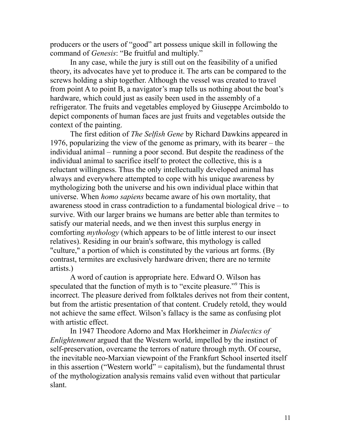producers or the users of "good" art possess unique skill in following the command of *Genesis*: "Be fruitful and multiply."

In any case, while the jury is still out on the feasibility of a unified theory, its advocates have yet to produce it. The arts can be compared to the screws holding a ship together. Although the vessel was created to travel from point A to point B, a navigator's map tells us nothing about the boat's hardware, which could just as easily been used in the assembly of a refrigerator. The fruits and vegetables employed by Giuseppe Arcimboldo to depict components of human faces are just fruits and vegetables outside the context of the painting.

The first edition of *The Selfish Gene* by Richard Dawkins appeared in 1976, popularizing the view of the genome as primary, with its bearer – the individual animal – running a poor second. But despite the readiness of the individual animal to sacrifice itself to protect the collective, this is a reluctant willingness. Thus the only intellectually developed animal has always and everywhere attempted to cope with his unique awareness by mythologizing both the universe and his own individual place within that universe. When *homo sapiens* became aware of his own mortality, that awareness stood in crass contradiction to a fundamental biological drive – to survive. With our larger brains we humans are better able than termites to satisfy our material needs, and we then invest this surplus energy in comforting *mythology* (which appears to be of little interest to our insect relatives). Residing in our brain's software, this mythology is called "culture," a portion of which is constituted by the various art forms. (By contrast, termites are exclusively hardware driven; there are no termite artists.)

A word of caution is appropriate here. Edward O. Wilson has speculated that the function of myth is to "excite pleasure."[9](#page--1-8) This is incorrect. The pleasure derived from folktales derives not from their content, but from the artistic presentation of that content. Crudely retold, they would not achieve the same effect. Wilson's fallacy is the same as confusing plot with artistic effect.

In 1947 Theodore Adorno and Max Horkheimer in *Dialectics of Enlightenment* argued that the Western world, impelled by the instinct of self-preservation, overcame the terrors of nature through myth. Of course, the inevitable neo-Marxian viewpoint of the Frankfurt School inserted itself in this assertion ("Western world" = capitalism), but the fundamental thrust of the mythologization analysis remains valid even without that particular slant.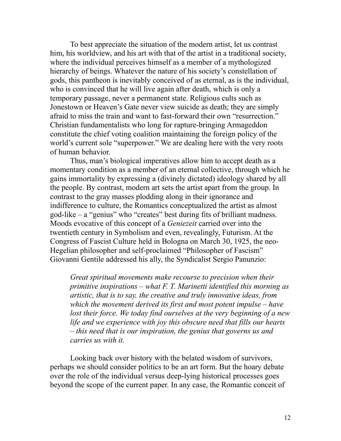To best appreciate the situation of the modern artist, let us contrast him, his worldview, and his art with that of the artist in a traditional society, where the individual perceives himself as a member of a mythologized hierarchy of beings. Whatever the nature of his society's constellation of gods, this pantheon is inevitably conceived of as eternal, as is the individual, who is convinced that he will live again after death, which is only a temporary passage, never a permanent state. Religious cults such as Jonestown or Heaven's Gate never view suicide as death; they are simply afraid to miss the train and want to fast-forward their own "resurrection." Christian fundamentalists who long for rapture-bringing Armageddon constitute the chief voting coalition maintaining the foreign policy of the world's current sole "superpower." We are dealing here with the very roots of human behavior.

Thus, man's biological imperatives allow him to accept death as a momentary condition as a member of an eternal collective, through which he gains immortality by expressing a (divinely dictated) ideology shared by all the people. By contrast, modern art sets the artist apart from the group. In contrast to the gray masses plodding along in their ignorance and indifference to culture, the Romantics conceptualized the artist as almost god-like – a "genius" who "creates" best during fits of brilliant madness. Moods evocative of this concept of a *Geniezeit* carried over into the twentieth century in Symbolism and even, revealingly, Futurism. At the Congress of Fascist Culture held in [Bologna](http://en.wikipedia.org/wiki/Bologna) on [March 30,](http://en.wikipedia.org/wiki/March_30) [1925,](http://en.wikipedia.org/wiki/1925) the neo-Hegelian philosopher and self-proclaimed "Philosopher of Fascism" [Giovanni Gentile](http://en.wikipedia.org/wiki/Giovanni_Gentile) addressed his ally, the Syndicalist Sergio Panunzio:

*Great spiritual movements make recourse to precision when their primitive inspirations – what F. T. Marinetti identified this morning as artistic, that is to say, the creative and truly innovative ideas, from which the movement derived its first and most potent impulse – have lost their force. We today find ourselves at the very beginning of a new life and we experience with joy this obscure need that fills our hearts – this need that is our inspiration, the genius that governs us and carries us with it.*

Looking back over history with the belated wisdom of survivors, perhaps we should consider politics to be an art form. But the hoary debate over the role of the individual versus deep-lying historical processes goes beyond the scope of the current paper. In any case, the Romantic conceit of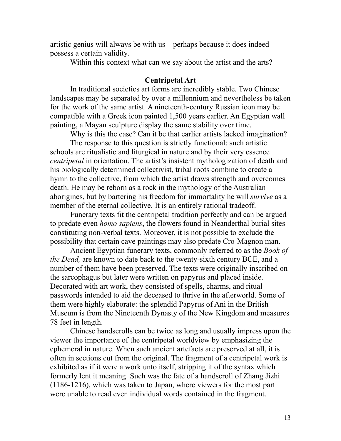artistic genius will always be with us – perhaps because it does indeed possess a certain validity.

Within this context what can we say about the artist and the arts?

### **Centripetal Art**

In traditional societies art forms are incredibly stable. Two Chinese landscapes may be separated by over a millennium and nevertheless be taken for the work of the same artist. A nineteenth-century Russian icon may be compatible with a Greek icon painted 1,500 years earlier. An Egyptian wall painting, a Mayan sculpture display the same stability over time.

Why is this the case? Can it be that earlier artists lacked imagination? The response to this question is strictly functional: such artistic schools are ritualistic and liturgical in nature and by their very essence *centripetal* in orientation. The artist's insistent mythologization of death and his biologically determined collectivist, tribal roots combine to create a hymn to the collective, from which the artist draws strength and overcomes death. He may be reborn as a rock in the mythology of the Australian aborigines, but by bartering his freedom for immortality he will *survive* as a member of the eternal collective. It is an entirely rational tradeoff.

Funerary texts fit the centripetal tradition perfectly and can be argued to predate even *homo sapiens*, the flowers found in Neanderthal burial sites constituting non-verbal texts. Moreover, it is not possible to exclude the possibility that certain cave paintings may also predate Cro-Magnon man.

Ancient Egyptian funerary texts, commonly referred to as the *Book of the Dead,* are known to date back to the twenty-sixth century BCE, and a number of them have been preserved. The texts were originally inscribed on the sarcophagus but later were written on papyrus and placed inside. Decorated with art work, they consisted of spells, charms, and ritual passwords intended to aid the deceased to thrive in the afterworld. Some of them were highly elaborate: the splendid Papyrus of Ani in the British Museum is from the Nineteenth Dynasty of the New Kingdom and measures 78 feet in length.

Chinese handscrolls can be twice as long and usually impress upon the viewer the importance of the centripetal worldview by emphasizing the ephemeral in nature. When such ancient artefacts are preserved at all, it is often in sections cut from the original. The fragment of a centripetal work is exhibited as if it were a work unto itself, stripping it of the syntax which formerly lent it meaning. Such was the fate of a handscroll of Zhang Jizhi (1186-1216), which was taken to Japan, where viewers for the most part were unable to read even individual words contained in the fragment.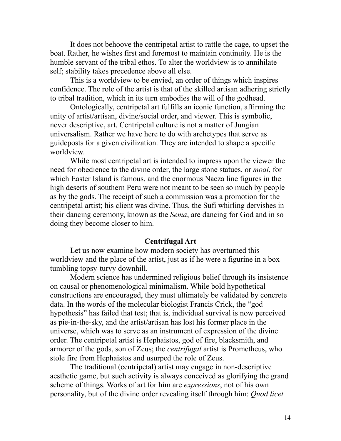It does not behoove the centripetal artist to rattle the cage, to upset the boat. Rather, he wishes first and foremost to maintain continuity. He is the humble servant of the tribal ethos. To alter the worldview is to annihilate self; stability takes precedence above all else.

This is a worldview to be envied, an order of things which inspires confidence. The role of the artist is that of the skilled artisan adhering strictly to tribal tradition, which in its turn embodies the will of the godhead.

Ontologically, centripetal art fulfills an iconic function, affirming the unity of artist/artisan, divine/social order, and viewer. This is symbolic, never descriptive, art. Centripetal culture is not a matter of Jungian universalism. Rather we have here to do with archetypes that serve as guideposts for a given civilization. They are intended to shape a specific worldview.

While most centripetal art is intended to impress upon the viewer the need for obedience to the divine order, the large stone statues, or *moai*, for which Easter Island is famous, and the enormous Nacza line figures in the high deserts of southern Peru were not meant to be seen so much by people as by the gods. The receipt of such a commission was a promotion for the centripetal artist; his client was divine. Thus, the Sufi whirling dervishes in their dancing ceremony, known as the *Sema*, are dancing for God and in so doing they become closer to him.

#### **Centrifugal Art**

Let us now examine how modern society has overturned this worldview and the place of the artist, just as if he were a figurine in a box tumbling topsy-turvy downhill.

Modern science has undermined religious belief through its insistence on causal or phenomenological minimalism. While bold hypothetical constructions are encouraged, they must ultimately be validated by concrete data. In the words of the molecular biologist Francis Crick, the "god hypothesis" has failed that test; that is, individual survival is now perceived as pie-in-the-sky, and the artist/artisan has lost his former place in the universe, which was to serve as an instrument of expression of the divine order. The centripetal artist is Hephaistos, god of fire, blacksmith, and armorer of the gods, son of Zeus; the *centrifugal* artist is Prometheus, who stole fire from Hephaistos and usurped the role of Zeus.

The traditional (centripetal) artist may engage in non-descriptive aesthetic game, but such activity is always conceived as glorifying the grand scheme of things. Works of art for him are *expressions*, not of his own personality, but of the divine order revealing itself through him: *Quod licet*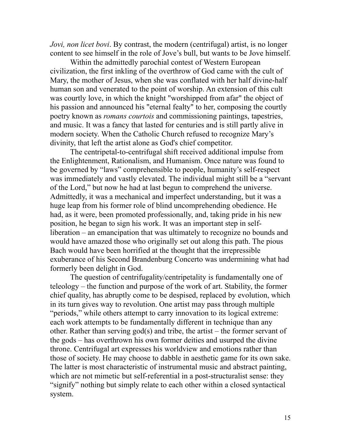*Jovi, non licet bovi.* By contrast, the modern (centrifugal) artist, is no longer content to see himself in the role of Jove's bull, but wants to be Jove himself.

Within the admittedly parochial contest of Western European civilization, the first inkling of the overthrow of God came with the cult of Mary, the mother of Jesus, when she was conflated with her half divine-half human son and venerated to the point of worship. An extension of this cult was courtly love, in which the knight "worshipped from afar" the object of his passion and announced his "eternal fealty" to her, composing the courtly poetry known as *romans courtois* and commissioning paintings, tapestries, and music. It was a fancy that lasted for centuries and is still partly alive in modern society. When the Catholic Church refused to recognize Mary's divinity, that left the artist alone as God's chief competitor.

The centripetal-to-centrifugal shift received additional impulse from the Enlightenment, Rationalism, and Humanism. Once nature was found to be governed by "laws" comprehensible to people, humanity's self-respect was immediately and vastly elevated. The individual might still be a "servant of the Lord," but now he had at last begun to comprehend the universe. Admittedly, it was a mechanical and imperfect understanding, but it was a huge leap from his former role of blind uncomprehending obedience. He had, as it were, been promoted professionally, and, taking pride in his new position, he began to sign his work. It was an important step in selfliberation – an emancipation that was ultimately to recognize no bounds and would have amazed those who originally set out along this path. The pious Bach would have been horrified at the thought that the irrepressible exuberance of his Second Brandenburg Concerto was undermining what had formerly been delight in God.

The question of centrifugality/centripetality is fundamentally one of teleology – the function and purpose of the work of art. Stability, the former chief quality, has abruptly come to be despised, replaced by evolution, which in its turn gives way to revolution. One artist may pass through multiple "periods," while others attempt to carry innovation to its logical extreme: each work attempts to be fundamentally different in technique than any other. Rather than serving god(s) and tribe, the artist – the former servant of the gods – has overthrown his own former deities and usurped the divine throne. Centrifugal art expresses his worldview and emotions rather than those of society. He may choose to dabble in aesthetic game for its own sake. The latter is most characteristic of instrumental music and abstract painting, which are not mimetic but self-referential in a post-structuralist sense: they "signify" nothing but simply relate to each other within a closed syntactical system.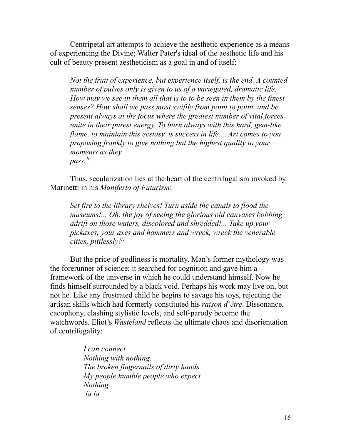Centripetal art attempts to achieve the aesthetic experience as a means of experiencing the Divine; Walter Pater's ideal of the aesthetic life and his cult of beauty present aestheticism as a goal in and of itself:

*Not the fruit of experience, but experience itself, is the end. A counted number of pulses only is given to us of a variegated, dramatic life. How may we see in them all that is to to be seen in them by the finest senses? How shall we pass most swiftly from point to point, and be present always at the focus where the greatest number of vital forces unite in their purest energy. To burn always with this hard, gem-like flame, to maintain this ecstasy, is success in life.... Art comes to you proposing frankly to give nothing but the highest quality to your moments as they pass.[10](#page--1-9)*

Thus, secularization lies at the heart of the centrifugalism invoked by Marinetti in his *Manifesto of Futurism*:

*Set fire to the library shelves! Turn aside the canals to flood the museums!... Oh, the joy of seeing the glorious old canvases bobbing adrift on those waters, discolored and shredded!... Take up your pickaxes, your axes and hammers and wreck, wreck the venerable cities, pitilessly![11](#page--1-10)*

But the price of godliness is mortality. Man's former mythology was the forerunner of science; it searched for cognition and gave him a framework of the universe in which he could understand himself. Now he finds himself surrounded by a black void. Perhaps his work may live on, but not he. Like any frustrated child he begins to savage his toys, rejecting the artisan skills which had formerly constituted his *raison d'être*. Dissonance, cacophony, clashing stylistic levels, and self-parody become the watchwords. Eliot's *Wasteland* reflects the ultimate chaos and disorientation of centrifugality:

> *I can connect Nothing with nothing. The broken fingernails of dirty hands. My people humble people who expect Nothing. la la*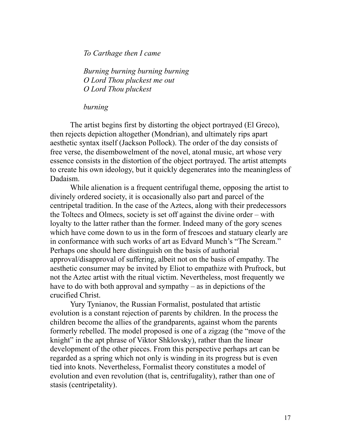*To Carthage then I came*

*Burning burning burning burning O Lord Thou pluckest me out O Lord Thou pluckest*

*burning*

The artist begins first by distorting the object portrayed (El Greco), then rejects depiction altogether (Mondrian), and ultimately rips apart aesthetic syntax itself (Jackson Pollock). The order of the day consists of free verse, the disembowelment of the novel, atonal music, art whose very essence consists in the distortion of the object portrayed. The artist attempts to create his own ideology, but it quickly degenerates into the meaningless of Dadaism.

While alienation is a frequent centrifugal theme, opposing the artist to divinely ordered society, it is occasionally also part and parcel of the centripetal tradition. In the case of the Aztecs, along with their predecessors the Toltecs and Olmecs, society is set off against the divine order – with loyalty to the latter rather than the former. Indeed many of the gory scenes which have come down to us in the form of frescoes and statuary clearly are in conformance with such works of art as Edvard Munch's "The Scream." Perhaps one should here distinguish on the basis of authorial approval/disapproval of suffering, albeit not on the basis of empathy. The aesthetic consumer may be invited by Eliot to empathize with Prufrock, but not the Aztec artist with the ritual victim. Nevertheless, most frequently we have to do with both approval and sympathy – as in depictions of the crucified Christ.

Yury Tynianov, the Russian Formalist, postulated that artistic evolution is a constant rejection of parents by children. In the process the children become the allies of the grandparents, against whom the parents formerly rebelled. The model proposed is one of a zigzag (the "move of the knight" in the apt phrase of Viktor Shklovsky), rather than the linear development of the other pieces. From this perspective perhaps art can be regarded as a spring which not only is winding in its progress but is even tied into knots. Nevertheless, Formalist theory constitutes a model of evolution and even revolution (that is, centrifugality), rather than one of stasis (centripetality).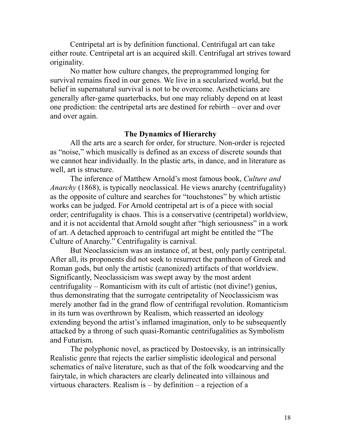Centripetal art is by definition functional. Centrifugal art can take either route. Centripetal art is an acquired skill. Centrifugal art strives toward originality.

No matter how culture changes, the preprogrammed longing for survival remains fixed in our genes. We live in a secularized world, but the belief in supernatural survival is not to be overcome. Aestheticians are generally after-game quarterbacks, but one may reliably depend on at least one prediction: the centripetal arts are destined for rebirth – over and over and over again.

### **The Dynamics of Hierarchy**

All the arts are a search for order, for structure. Non-order is rejected as "noise," which musically is defined as an excess of discrete sounds that we cannot hear individually. In the plastic arts, in dance, and in literature as well, art is structure.

The inference of Matthew Arnold's most famous book, *Culture and Anarchy* (1868), is typically neoclassical. He views anarchy (centrifugality) as the opposite of culture and searches for "touchstones" by which artistic works can be judged. For Arnold centripetal art is of a piece with social order; centrifugality is chaos. This is a conservative (centripetal) worldview, and it is not accidental that Arnold sought after "high seriousness" in a work of art. A detached approach to centrifugal art might be entitled the "The Culture of Anarchy." Centrifugality is carnival.

But Neoclassicism was an instance of, at best, only partly centripetal. After all, its proponents did not seek to resurrect the pantheon of Greek and Roman gods, but only the artistic (canonized) artifacts of that worldview. Significantly, Neoclassicism was swept away by the most ardent centrifugality – Romanticism with its cult of artistic (not divine!) genius, thus demonstrating that the surrogate centripetality of Neoclassicism was merely another fad in the grand flow of centrifugal revolution. Romanticism in its turn was overthrown by Realism, which reasserted an ideology extending beyond the artist's inflamed imagination, only to be subsequently attacked by a throng of such quasi-Romantic centrifugalities as Symbolism and Futurism.

The polyphonic novel, as practiced by Dostoevsky, is an intrinsically Realistic genre that rejects the earlier simplistic ideological and personal schematics of naïve literature, such as that of the folk woodcarving and the fairytale, in which characters are clearly delineated into villainous and virtuous characters. Realism is – by definition – a rejection of a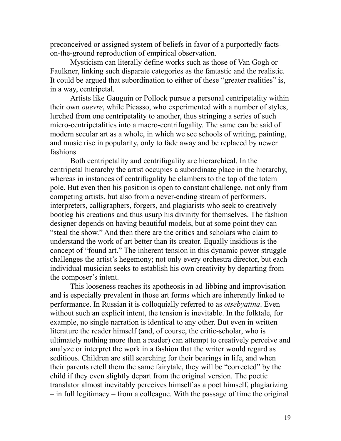preconceived or assigned system of beliefs in favor of a purportedly factson-the-ground reproduction of empirical observation.

Mysticism can literally define works such as those of Van Gogh or Faulkner, linking such disparate categories as the fantastic and the realistic. It could be argued that subordination to either of these "greater realities" is, in a way, centripetal.

Artists like Gauguin or Pollock pursue a personal centripetality within their own *ouevre*, while Picasso, who experimented with a number of styles, lurched from one centripetality to another, thus stringing a series of such micro-centripetalities into a macro-centrifugality. The same can be said of modern secular art as a whole, in which we see schools of writing, painting, and music rise in popularity, only to fade away and be replaced by newer fashions.

Both centripetality and centrifugality are hierarchical. In the centripetal hierarchy the artist occupies a subordinate place in the hierarchy, whereas in instances of centrifugality he clambers to the top of the totem pole. But even then his position is open to constant challenge, not only from competing artists, but also from a never-ending stream of performers, interpreters, calligraphers, forgers, and plagiarists who seek to creatively bootleg his creations and thus usurp his divinity for themselves. The fashion designer depends on having beautiful models, but at some point they can "steal the show." And then there are the critics and scholars who claim to understand the work of art better than its creator. Equally insidious is the concept of "found art." The inherent tension in this dynamic power struggle challenges the artist's hegemony; not only every orchestra director, but each individual musician seeks to establish his own creativity by departing from the composer's intent.

This looseness reaches its apotheosis in ad-libbing and improvisation and is especially prevalent in those art forms which are inherently linked to performance. In Russian it is colloquially referred to as *otsebyatina*. Even without such an explicit intent, the tension is inevitable. In the folktale, for example, no single narration is identical to any other. But even in written literature the reader himself (and, of course, the critic-scholar, who is ultimately nothing more than a reader) can attempt to creatively perceive and analyze or interpret the work in a fashion that the writer would regard as seditious. Children are still searching for their bearings in life, and when their parents retell them the same fairytale, they will be "corrected" by the child if they even slightly depart from the original version. The poetic translator almost inevitably perceives himself as a poet himself, plagiarizing – in full legitimacy – from a colleague. With the passage of time the original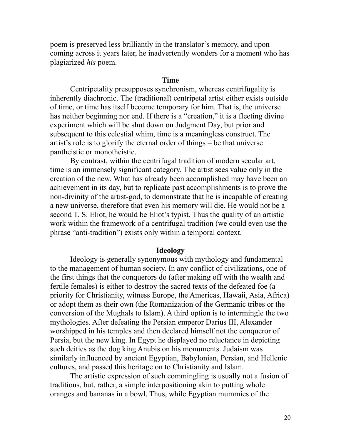poem is preserved less brilliantly in the translator's memory, and upon coming across it years later, he inadvertently wonders for a moment who has plagiarized *his* poem.

#### **Time**

Centripetality presupposes synchronism, whereas centrifugality is inherently diachronic. The (traditional) centripetal artist either exists outside of time, or time has itself become temporary for him. That is, the universe has neither beginning nor end. If there is a "creation," it is a fleeting divine experiment which will be shut down on Judgment Day, but prior and subsequent to this celestial whim, time is a meaningless construct. The artist's role is to glorify the eternal order of things – be that universe pantheistic or monotheistic.

By contrast, within the centrifugal tradition of modern secular art, time is an immensely significant category. The artist sees value only in the creation of the new. What has already been accomplished may have been an achievement in its day, but to replicate past accomplishments is to prove the non-divinity of the artist-god, to demonstrate that he is incapable of creating a new universe, therefore that even his memory will die. He would not be a second T. S. Eliot, he would be Eliot's typist. Thus the quality of an artistic work within the framework of a centrifugal tradition (we could even use the phrase "anti-tradition") exists only within a temporal context.

#### **Ideology**

Ideology is generally synonymous with mythology and fundamental to the management of human society. In any conflict of civilizations, one of the first things that the conquerors do (after making off with the wealth and fertile females) is either to destroy the sacred texts of the defeated foe (a priority for Christianity, witness Europe, the Americas, Hawaii, Asia, Africa) or adopt them as their own (the Romanization of the Germanic tribes or the conversion of the Mughals to Islam). A third option is to intermingle the two mythologies. After defeating the Persian emperor Darius III, Alexander worshipped in his temples and then declared himself not the conqueror of Persia, but the new king. In Egypt he displayed no reluctance in depicting such deities as the dog king Anubis on his monuments. Judaism was similarly influenced by ancient Egyptian, Babylonian, Persian, and Hellenic cultures, and passed this heritage on to Christianity and Islam.

The artistic expression of such commingling is usually not a fusion of traditions, but, rather, a simple interpositioning akin to putting whole oranges and bananas in a bowl. Thus, while Egyptian mummies of the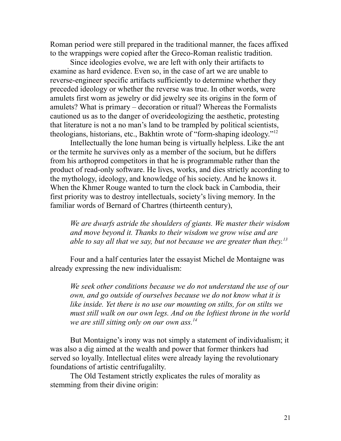Roman period were still prepared in the traditional manner, the faces affixed to the wrappings were copied after the Greco-Roman realistic tradition.

Since ideologies evolve, we are left with only their artifacts to examine as hard evidence. Even so, in the case of art we are unable to reverse-engineer specific artifacts sufficiently to determine whether they preceded ideology or whether the reverse was true. In other words, were amulets first worn as jewelry or did jewelry see its origins in the form of amulets? What is primary – decoration or ritual? Whereas the Formalists cautioned us as to the danger of overideologizing the aesthetic, protesting that literature is not a no man's land to be trampled by political scientists, theologians, historians, etc., Bakhtin wrote of "form-shaping ideology."[12](#page--1-11)

Intellectually the lone human being is virtually helpless. Like the ant or the termite he survives only as a member of the socium, but he differs from his arthoprod competitors in that he is programmable rather than the product of read-only software. He lives, works, and dies strictly according to the mythology, ideology, and knowledge of his society. And he knows it. When the Khmer Rouge wanted to turn the clock back in Cambodia, their first priority was to destroy intellectuals, society's living memory. In the familiar words of Bernard of Chartres (thirteenth century),

*We are dwarfs astride the shoulders of giants. We master their wisdom and move beyond it. Thanks to their wisdom we grow wise and are able to say all that we say, but not because we are greater than they. [13](#page--1-12)*

Four and a half centuries later the essayist Michel de Montaigne was already expressing the new individualism:

*We seek other conditions because we do not understand the use of our own, and go outside of ourselves because we do not know what it is like inside. Yet there is no use our mounting on stilts, for on stilts we must still walk on our own legs. And on the loftiest throne in the world we are still sitting only on our own ass.[14](#page--1-13)*

But Montaigne's irony was not simply a statement of individualism; it was also a dig aimed at the wealth and power that former thinkers had served so loyally. Intellectual elites were already laying the revolutionary foundations of artistic centrifugalilty.

The Old Testament strictly explicates the rules of morality as stemming from their divine origin: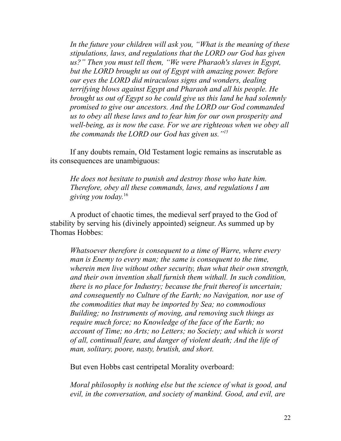*In the future your children will ask you, "What is the meaning of these stipulations, laws, and regulations that the LORD our God has given us?" Then you must tell them, "We were Pharaoh's slaves in Egypt, but the LORD brought us out of Egypt with amazing power. Before our eyes the LORD did miraculous signs and wonders, dealing terrifying blows against Egypt and Pharaoh and all his people. He brought us out of Egypt so he could give us this land he had solemnly promised to give our ancestors. And the LORD our God commanded us to obey all these laws and to fear him for our own prosperity and well-being, as is now the case. For we are righteous when we obey all the commands the LORD our God has given us."[15](#page--1-14)*

If any doubts remain, Old Testament logic remains as inscrutable as its consequences are unambiguous:

*He does not hesitate to punish and destroy those who hate him. Therefore, obey all these commands, laws, and regulations I am giving you today.* [16](#page--1-15)

A product of chaotic times, the medieval serf prayed to the God of stability by serving his (divinely appointed) seigneur. As summed up by Thomas Hobbes:

*Whatsoever therefore is consequent to a time of Warre, where every man is Enemy to every man; the same is consequent to the time, wherein men live without other security, than what their own strength, and their own invention shall furnish them withall. In such condition, there is no place for Industry; because the fruit thereof is uncertain; and consequently no Culture of the Earth; no Navigation, nor use of the commodities that may be imported by Sea; no commodious Building; no Instruments of moving, and removing such things as require much force; no Knowledge of the face of the Earth; no account of Time; no Arts; no Letters; no Society; and which is worst of all, continuall feare, and danger of violent death; And the life of man, solitary, poore, nasty, brutish, and short.*

But even Hobbs cast centripetal Morality overboard:

*Moral philosophy is nothing else but the science of what is good, and evil, in the conversation, and society of mankind. Good, and evil, are*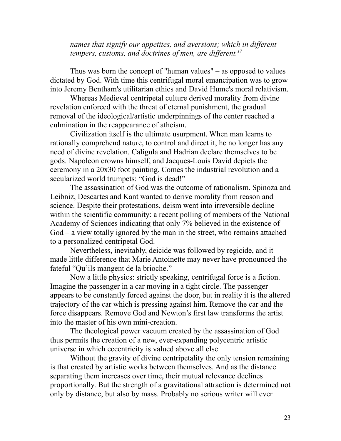*names that signify our appetites, and aversions; which in different tempers, customs, and doctrines of men, are different.[17](#page--1-16)*

Thus was born the concept of "human values" – as opposed to values dictated by God. With time this centrifugal moral emancipation was to grow into Jeremy Bentham's utilitarian ethics and David Hume's moral relativism.

Whereas Medieval centripetal culture derived morality from divine revelation enforced with the threat of eternal punishment, the gradual removal of the ideological/artistic underpinnings of the center reached a culmination in the reappearance of atheism.

Civilization itself is the ultimate usurpment. When man learns to rationally comprehend nature, to control and direct it, he no longer has any need of divine revelation. Caligula and Hadrian declare themselves to be gods. Napoleon crowns himself, and Jacques-Louis David depicts the ceremony in a 20x30 foot painting. Comes the industrial revolution and a secularized world trumpets: "God is dead!"

The assassination of God was the outcome of rationalism. Spinoza and Leibniz, Descartes and Kant wanted to derive morality from reason and science. Despite their protestations, deism went into irreversible decline within the scientific community: a recent polling of members of the National Academy of Sciences indicating that only 7% believed in the existence of God – a view totally ignored by the man in the street, who remains attached to a personalized centripetal God.

Nevertheless, inevitably, deicide was followed by regicide, and it made little difference that Marie Antoinette may never have pronounced the fateful "Qu'ils mangent de la [brioche.](http://en.wikipedia.org/wiki/Brioche)"

Now a little physics: strictly speaking, centrifugal force is a fiction. Imagine the passenger in a car moving in a tight circle. The passenger appears to be constantly forced against the door, but in reality it is the altered trajectory of the car which is pressing against him. Remove the car and the force disappears. Remove God and Newton's first law transforms the artist into the master of his own mini-creation.

The theological power vacuum created by the assassination of God thus permits the creation of a new, ever-expanding polycentric artistic universe in which eccentricity is valued above all else.

Without the gravity of divine centripetality the only tension remaining is that created by artistic works between themselves. And as the distance separating them increases over time, their mutual relevance declines proportionally. But the strength of a gravitational attraction is determined not only by distance, but also by mass. Probably no serious writer will ever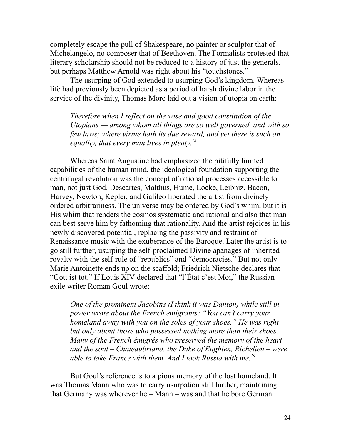completely escape the pull of Shakespeare, no painter or sculptor that of Michelangelo, no composer that of Beethoven. The Formalists protested that literary scholarship should not be reduced to a history of just the generals, but perhaps Matthew Arnold was right about his "touchstones."

The usurping of God extended to usurping God's kingdom. Whereas life had previously been depicted as a period of harsh divine labor in the service of the divinity, Thomas More laid out a vision of utopia on earth:

*Therefore when I reflect on the wise and good constitution of the Utopians — among whom all things are so well governed, and with so few laws; where virtue hath its due reward, and yet there is such an equality, that every man lives in plenty. [18](#page--1-17)*

Whereas Saint Augustine had emphasized the pitifully limited capabilities of the human mind, the ideological foundation supporting the centrifugal revolution was the concept of rational processes accessible to man, not just God. Descartes, Malthus, Hume, Locke, Leibniz, Bacon, Harvey, Newton, Kepler, and Galileo liberated the artist from divinely ordered arbitrariness. The universe may be ordered by God's whim, but it is His whim that renders the cosmos systematic and rational and also that man can best serve him by fathoming that rationality. And the artist rejoices in his newly discovered potential, replacing the passivity and restraint of Renaissance music with the exuberance of the Baroque. Later the artist is to go still further, usurping the self-proclaimed Divine apanages of inherited royalty with the self-rule of "republics" and "democracies." But not only Marie Antoinette ends up on the scaffold; Friedrich Nietsche declares that "Gott ist tot." If Louis XIV declared that "l'État c'est Moi," the Russian exile writer Roman Goul wrote:

*One of the prominent Jacobins (I think it was Danton) while still in power wrote about the French emigrants: "You can't carry your homeland away with you on the soles of your shoes." He was right – but only about those who possessed nothing more than their shoes. Many of the French émigrés who preserved the memory of the heart and the soul – Chateaubriand, the Duke of Enghien, Richelieu – were able to take France with them. And I took Russia with me.[19](#page--1-18)*

But Goul's reference is to a pious memory of the lost homeland. It was Thomas Mann who was to carry usurpation still further, maintaining that Germany was wherever he – Mann – was and that he bore German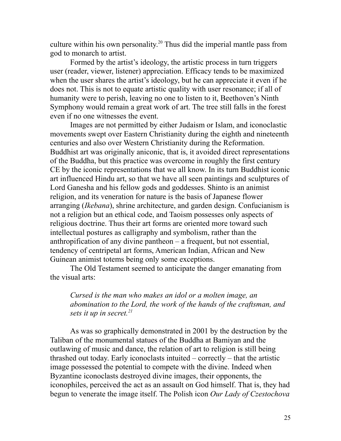culture within his own personality. [20](#page--1-19) Thus did the imperial mantle pass from god to monarch to artist.

Formed by the artist's ideology, the artistic process in turn triggers user (reader, viewer, listener) appreciation. Efficacy tends to be maximized when the user shares the artist's ideology, but he can appreciate it even if he does not. This is not to equate artistic quality with user resonance; if all of humanity were to perish, leaving no one to listen to it, Beethoven's Ninth Symphony would remain a great work of art. The tree still falls in the forest even if no one witnesses the event.

Images are not permitted by either Judaism or Islam, and iconoclastic movements swept over Eastern Christianity during the eighth and nineteenth centuries and also over Western Christianity during the Reformation. Buddhist art was originally aniconic, that is, it avoided direct representations of the Buddha, but this practice was overcome in roughly the first century CE by the iconic representations that we all know. In its turn Buddhist iconic art influenced Hindu art, so that we have all seen paintings and sculptures of Lord Ganesha and his fellow gods and goddesses. Shinto is an animist religion, and its veneration for nature is the basis of Japanese flower arranging (*Ikebana*), shrine architecture, and garden design. Confucianism is not a religion but an ethical code, and Taoism possesses only aspects of religious doctrine. Thus their art forms are oriented more toward such intellectual postures as calligraphy and symbolism, rather than the anthropification of any divine pantheon – a frequent, but not essential, tendency of centripetal art forms, American Indian, African and New Guinean animist totems being only some exceptions.

The Old Testament seemed to anticipate the danger emanating from the visual arts:

## *Cursed is the man who makes an idol or a molten image, an abomination to the Lord, the work of the hands of the craftsman, and sets it up in secret.[21](#page--1-20)*

As was so graphically demonstrated in 2001 by the destruction by the Taliban of the monumental statues of the Buddha at Bamiyan and the outlawing of music and dance, the relation of art to religion is still being thrashed out today. Early iconoclasts intuited – correctly – that the artistic image possessed the potential to compete with the divine. Indeed when Byzantine iconoclasts destroyed divine images, their opponents, the iconophiles, perceived the act as an assault on God himself. That is, they had begun to venerate the image itself. The Polish icon *Our Lady of Czestochova*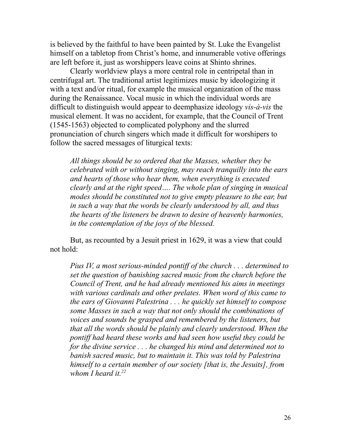is believed by the faithful to have been painted by St. Luke the Evangelist himself on a tabletop from Christ's home, and innumerable votive offerings are left before it, just as worshippers leave coins at Shinto shrines.

Clearly worldview plays a more central role in centripetal than in centrifugal art. The traditional artist legitimizes music by ideologizing it with a text and/or ritual, for example the musical organization of the mass during the Renaissance. Vocal music in which the individual words are difficult to distinguish would appear to deemphasize ideology *vis-à-vis* the musical element. It was no accident, for example, that the Council of Trent (1545-1563) objected to complicated polyphony and the slurred pronunciation of church singers which made it difficult for worshipers to follow the sacred messages of liturgical texts:

*All things should be so ordered that the Masses, whether they be celebrated with or without singing, may reach tranquilly into the ears and hearts of those who hear them, when everything is executed clearly and at the right speed…. The whole plan of singing in musical modes should be constituted not to give empty pleasure to the ear, but in such a way that the words be clearly understood by all, and thus the hearts of the listeners be drawn to desire of heavenly harmonies, in the contemplation of the joys of the blessed.*

But, as recounted by a Jesuit priest in 1629, it was a view that could not hold:

*Pius IV, a most serious-minded pontiff of the church . . . determined to set the question of banishing sacred music from the church before the Council of Trent, and he had already mentioned his aims in meetings with various cardinals and other prelates. When word of this came to the ears of Giovanni Palestrina . . . he quickly set himself to compose some Masses in such a way that not only should the combinations of voices and sounds be grasped and remembered by the listeners, but that all the words should be plainly and clearly understood. When the pontiff had heard these works and had seen how useful they could be for the divine service . . . he changed his mind and determined not to banish sacred music, but to maintain it. This was told by Palestrina himself to a certain member of our society [that is, the Jesuits], from whom I heard it.[22](#page--1-21)*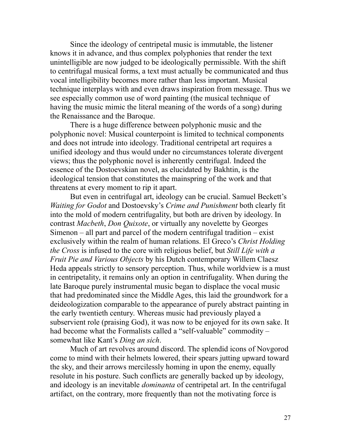Since the ideology of centripetal music is immutable, the listener knows it in advance, and thus complex polyphonies that render the text unintelligible are now judged to be ideologically permissible. With the shift to centrifugal musical forms, a text must actually be communicated and thus vocal intelligibility becomes more rather than less important. Musical technique interplays with and even draws inspiration from message. Thus we see especially common use of word painting (the musical technique of having the music mimic the literal meaning of the words of a song) during the Renaissance and the Baroque.

There is a huge difference between polyphonic music and the polyphonic novel: Musical counterpoint is limited to technical components and does not intrude into ideology. Traditional centripetal art requires a unified ideology and thus would under no circumstances tolerate divergent views; thus the polyphonic novel is inherently centrifugal. Indeed the essence of the Dostoevskian novel, as elucidated by Bakhtin, is the ideological tension that constitutes the mainspring of the work and that threatens at every moment to rip it apart.

But even in centrifugal art, ideology can be crucial. Samuel Beckett's *Waiting for Godot* and Dostoevsky's *Crime and Punishment* both clearly fit into the mold of modern centrifugality, but both are driven by ideology. In contrast *Macbeth*, *Don Quixote*, or virtually any novelette by Georges Simenon – all part and parcel of the modern centrifugal tradition – exist exclusively within the realm of human relations. El Greco's *Christ Holding the Cross* is infused to the core with religious belief, but *Still Life with a Fruit Pie and Various Objects* by his Dutch contemporary Willem Claesz Heda appeals strictly to sensory perception. Thus, while worldview is a must in centripetality, it remains only an option in centrifugality. When during the late Baroque purely instrumental music began to displace the vocal music that had predominated since the Middle Ages, this laid the groundwork for a deideologization comparable to the appearance of purely abstract painting in the early twentieth century. Whereas music had previously played a subservient role (praising God), it was now to be enjoyed for its own sake. It had become what the Formalists called a "self-valuable" commodity somewhat like Kant's *Ding an sich*.

Much of art revolves around discord. The splendid icons of Novgorod come to mind with their helmets lowered, their spears jutting upward toward the sky, and their arrows mercilessly homing in upon the enemy, equally resolute in his posture. Such conflicts are generally backed up by ideology, and ideology is an inevitable *dominanta* of centripetal art. In the centrifugal artifact, on the contrary, more frequently than not the motivating force is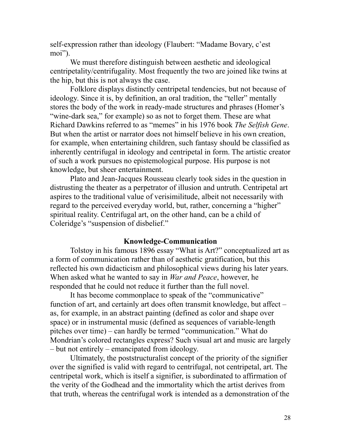self-expression rather than ideology (Flaubert: "Madame Bovary, c'est moi").

We must therefore distinguish between aesthetic and ideological centripetality/centrifugality. Most frequently the two are joined like twins at the hip, but this is not always the case.

Folklore displays distinctly centripetal tendencies, but not because of ideology. Since it is, by definition, an oral tradition, the "teller" mentally stores the body of the work in ready-made structures and phrases (Homer's "wine-dark sea," for example) so as not to forget them. These are what Richard Dawkins referred to as "memes" in his 1976 book *The Selfish Gene*. But when the artist or narrator does not himself believe in his own creation, for example, when entertaining children, such fantasy should be classified as inherently centrifugal in ideology and centripetal in form. The artistic creator of such a work pursues no epistemological purpose. His purpose is not knowledge, but sheer entertainment.

Plato and Jean-Jacques Rousseau clearly took sides in the question in distrusting the theater as a perpetrator of illusion and untruth. Centripetal art aspires to the traditional value of verisimilitude, albeit not necessarily with regard to the perceived everyday world, but, rather, concerning a "higher" spiritual reality. Centrifugal art, on the other hand, can be a child of Coleridge's "suspension of disbelief."

### **Knowledge-Communication**

Tolstoy in his famous 1896 essay "What is Art?" conceptualized art as a form of communication rather than of aesthetic gratification, but this reflected his own didacticism and philosophical views during his later years. When asked what he wanted to say in *War and Peace*, however, he responded that he could not reduce it further than the full novel.

It has become commonplace to speak of the "communicative" function of art, and certainly art does often transmit knowledge, but affect – as, for example, in an abstract painting (defined as color and shape over space) or in instrumental music (defined as sequences of variable-length pitches over time) – can hardly be termed "communication." What do Mondrian's colored rectangles express? Such visual art and music are largely – but not entirely – emancipated from ideology.

Ultimately, the poststructuralist concept of the priority of the signifier over the signified is valid with regard to centrifugal, not centripetal, art. The centripetal work, which is itself a signifier, is subordinated to affirmation of the verity of the Godhead and the immortality which the artist derives from that truth, whereas the centrifugal work is intended as a demonstration of the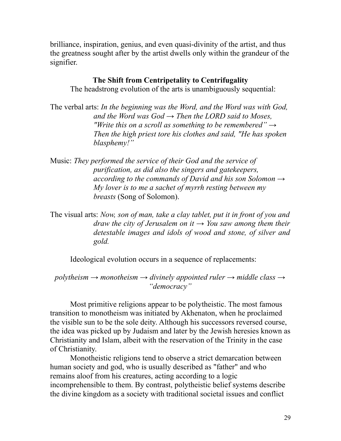brilliance, inspiration, genius, and even quasi-divinity of the artist, and thus the greatness sought after by the artist dwells only within the grandeur of the signifier.

### **The Shift from Centripetality to Centrifugality**

The headstrong evolution of the arts is unambiguously sequential:

- The verbal arts: *In the beginning was the Word, and the Word was with God, and the Word was God → Then the LORD said to Moses, "Write this on a scroll as something to be remembered" → Then the high priest tore his clothes and said, "He has spoken blasphemy!"*
- Music: *They performed the service of their God and the service of purification, as did also the singers and gatekeepers, according to the commands of David and his son Solomon → My lover is to me a sachet of myrrh resting between my breasts* (Song of Solomon).

The visual arts: *Now, son of man, take a clay tablet, put it in front of you and draw the city of Jerusalem on it*  $\rightarrow$  *You saw among them their detestable images and idols of wood and stone, of silver and gold.*

Ideological evolution occurs in a sequence of replacements:

*polytheism → monotheism → divinely appointed ruler → middle class → "democracy"*

Most primitive religions appear to be polytheistic. The most famous transition to monotheism was initiated by Akhenaton, when he proclaimed the visible sun to be the sole deity. Although his successors reversed course, the idea was picked up by Judaism and later by the Jewish heresies known as Christianity and Islam, albeit with the reservation of the Trinity in the case of Christianity.

Monotheistic religions tend to observe a strict demarcation between human society and god, who is usually described as "father" and who remains aloof from his creatures, acting according to a logic incomprehensible to them. By contrast, polytheistic belief systems describe the divine kingdom as a society with traditional societal issues and conflict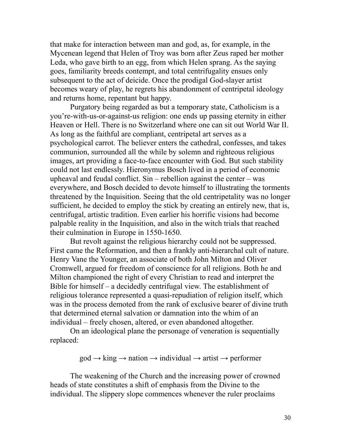that make for interaction between man and god, as, for example, in the Mycenean legend that Helen of Troy was born after Zeus raped her mother Leda, who gave birth to an egg, from which Helen sprang. As the saying goes, familiarity breeds contempt, and total centrifugality ensues only subsequent to the act of deicide. Once the prodigal God-slayer artist becomes weary of play, he regrets his abandonment of centripetal ideology and returns home, repentant but happy.

Purgatory being regarded as but a temporary state, Catholicism is a you're-with-us-or-against-us religion: one ends up passing eternity in either Heaven or Hell. There is no Switzerland where one can sit out World War II. As long as the faithful are compliant, centripetal art serves as a psychological carrot. The believer enters the cathedral, confesses, and takes communion, surrounded all the while by solemn and righteous religious images, art providing a face-to-face encounter with God. But such stability could not last endlessly. Hieronymus Bosch lived in a period of economic upheaval and feudal conflict. Sin – rebellion against the center – was everywhere, and Bosch decided to devote himself to illustrating the torments threatened by the Inquisition. Seeing that the old centripetality was no longer sufficient, he decided to employ the stick by creating an entirely new, that is, centrifugal, artistic tradition. Even earlier his horrific visions had become palpable reality in the Inquisition, and also in the witch trials that reached their culmination in Europe in 1550-1650.

But revolt against the religious hierarchy could not be suppressed. First came the Reformation, and then a frankly anti-hierarchal cult of nature. Henry Vane the Younger, an associate of both John Milton and Oliver Cromwell, argued for freedom of conscience for all religions. Both he and Milton championed the right of every Christian to read and interpret the Bible for himself – a decidedly centrifugal view. The establishment of religious tolerance represented a quasi-repudiation of religion itself, which was in the process demoted from the rank of exclusive bearer of divine truth that determined eternal salvation or damnation into the whim of an individual – freely chosen, altered, or even abandoned altogether.

On an ideological plane the personage of veneration is sequentially replaced:

 $\text{god} \rightarrow \text{king} \rightarrow \text{national} \rightarrow \text{arity} \rightarrow \text{performance}$ 

The weakening of the Church and the increasing power of crowned heads of state constitutes a shift of emphasis from the Divine to the individual. The slippery slope commences whenever the ruler proclaims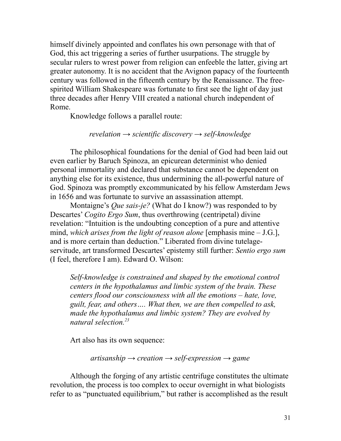himself divinely appointed and conflates his own personage with that of God, this act triggering a series of further usurpations. The struggle by secular rulers to wrest power from religion can enfeeble the latter, giving art greater autonomy. It is no accident that the Avignon papacy of the fourteenth century was followed in the fifteenth century by the Renaissance. The freespirited William Shakespeare was fortunate to first see the light of day just three decades after Henry VIII created a national church independent of Rome.

Knowledge follows a parallel route:

### *revelation → scientific discovery → self-knowledge*

The philosophical foundations for the denial of God had been laid out even earlier by Baruch Spinoza, an epicurean determinist who denied personal immortality and declared that substance cannot be dependent on anything else for its existence, thus undermining the all-powerful nature of God. Spinoza was promptly excommunicated by his fellow Amsterdam Jews in 1656 and was fortunate to survive an assassination attempt.

Montaigne's *Que sais-je?* (What do I know?) was responded to by Descartes' *Cogito Ergo Sum*, thus overthrowing (centripetal) divine revelation: "Intuition is the undoubting conception of a pure and attentive mind, *which arises from the light of reason alone* [emphasis mine – J.G.], and is more certain than deduction." Liberated from divine tutelageservitude, art transformed Descartes' epistemy still further: *Sentio ergo sum* (I feel, therefore I am). Edward O. Wilson:

*Self-knowledge is constrained and shaped by the emotional control centers in the hypothalamus and limbic system of the brain. These centers flood our consciousness with all the emotions – hate, love, guilt, fear, and others…. What then, we are then compelled to ask, made the hypothalamus and limbic system? They are evolved by natural selection.[23](#page--1-22)*

Art also has its own sequence:

*artisanship → creation → self-expression → game*

Although the forging of any artistic centrifuge constitutes the ultimate revolution, the process is too complex to occur overnight in what biologists refer to as "punctuated equilibrium," but rather is accomplished as the result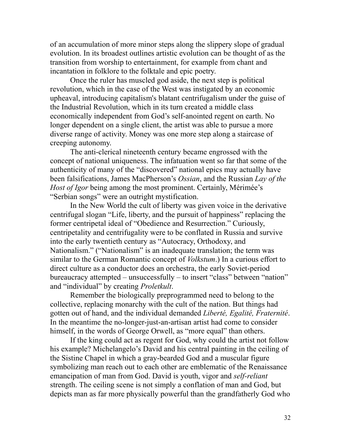of an accumulation of more minor steps along the slippery slope of gradual evolution. In its broadest outlines artistic evolution can be thought of as the transition from worship to entertainment, for example from chant and incantation in folklore to the folktale and epic poetry.

Once the ruler has muscled god aside, the next step is political revolution, which in the case of the West was instigated by an economic upheaval, introducing capitalism's blatant centrifugalism under the guise of the Industrial Revolution, which in its turn created a middle class economically independent from God's self-anointed regent on earth. No longer dependent on a single client, the artist was able to pursue a more diverse range of activity. Money was one more step along a staircase of creeping autonomy.

The anti-clerical nineteenth century became engrossed with the concept of national uniqueness. The infatuation went so far that some of the authenticity of many of the "discovered" national epics may actually have been falsifications, James MacPherson's *Ossian*, and the Russian *Lay of the Host of Igor* being among the most prominent. Certainly, Mérimée's "Serbian songs" were an outright mystification.

In the New World the cult of liberty was given voice in the derivative centrifugal slogan "Life, liberty, and the pursuit of happiness" replacing the former centripetal ideal of "Obedience and Resurrection." Curiously, centripetality and centrifugality were to be conflated in Russia and survive into the early twentieth century as "Autocracy, Orthodoxy, and Nationalism." ("Nationalism" is an inadequate translation; the term was similar to the German Romantic concept of *Volkstum*.) In a curious effort to direct culture as a conductor does an orchestra, the early Soviet-period bureaucracy attempted – unsuccessfully – to insert "class" between "nation" and "individual" by creating *Proletkult*.

Remember the biologically preprogrammed need to belong to the collective, replacing monarchy with the cult of the nation. But things had gotten out of hand, and the individual demanded *Liberté, Egalité, Fraternité*. In the meantime the no-longer-just-an-artisan artist had come to consider himself, in the words of George Orwell, as "more equal" than others.

If the king could act as regent for God, why could the artist not follow his example? Michelangelo's David and his central painting in the ceiling of the Sistine Chapel in which a gray-bearded God and a muscular figure symbolizing man reach out to each other are emblematic of the Renaissance emancipation of man from God. David is youth, vigor and *self-reliant* strength. The ceiling scene is not simply a conflation of man and God, but depicts man as far more physically powerful than the grandfatherly God who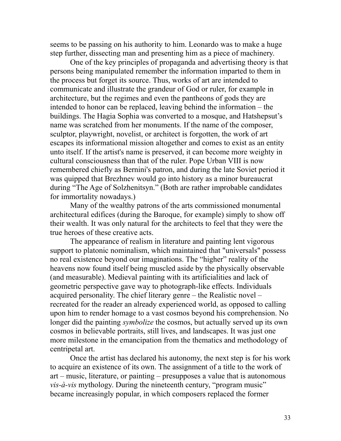seems to be passing on his authority to him. Leonardo was to make a huge step further, dissecting man and presenting him as a piece of machinery.

One of the key principles of propaganda and advertising theory is that persons being manipulated remember the information imparted to them in the process but forget its source. Thus, works of art are intended to communicate and illustrate the grandeur of God or ruler, for example in architecture, but the regimes and even the pantheons of gods they are intended to honor can be replaced, leaving behind the information – the buildings. The Hagia Sophia was converted to a mosque, and Hatshepsut's name was scratched from her monuments. If the name of the composer, sculptor, playwright, novelist, or architect is forgotten, the work of art escapes its informational mission altogether and comes to exist as an entity unto itself. If the artist's name is preserved, it can become more weighty in cultural consciousness than that of the ruler. Pope Urban VIII is now remembered chiefly as Bernini's patron, and during the late Soviet period it was quipped that Brezhnev would go into history as a minor bureaucrat during "The Age of Solzhenitsyn." (Both are rather improbable candidates for immortality nowadays.)

Many of the wealthy patrons of the arts commissioned monumental architectural edifices (during the Baroque, for example) simply to show off their wealth. It was only natural for the architects to feel that they were the true heroes of these creative acts.

The appearance of realism in literature and painting lent vigorous support to platonic nominalism, which maintained that "universals" possess no real existence beyond our imaginations. The "higher" reality of the heavens now found itself being muscled aside by the physically observable (and measurable). Medieval painting with its artificialities and lack of geometric perspective gave way to photograph-like effects. Individuals acquired personality. The chief literary genre – the Realistic novel – recreated for the reader an already experienced world, as opposed to calling upon him to render homage to a vast cosmos beyond his comprehension. No longer did the painting *symbolize* the cosmos, but actually served up its own cosmos in believable portraits, still lives, and landscapes. It was just one more milestone in the emancipation from the thematics and methodology of centripetal art.

Once the artist has declared his autonomy, the next step is for his work to acquire an existence of its own. The assignment of a title to the work of art – music, literature, or painting – presupposes a value that is autonomous *vis-à-vis* mythology. During the nineteenth century, "program music" became increasingly popular, in which composers replaced the former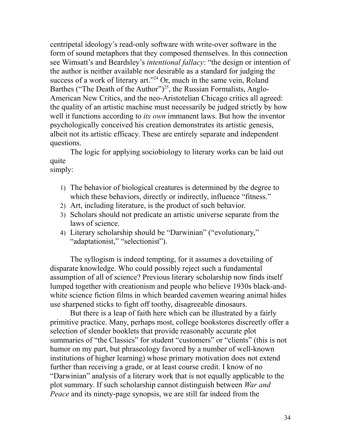centripetal ideology's read-only software with write-over software in the form of sound metaphors that they composed themselves. In this connection see Wimsatt's and Beardsley's *intentional fallacy*: "the design or intention of the author is neither available nor desirable as a standard for judging the success of a work of literary art."<sup>[24](#page--1-23)</sup> Or, much in the same vein, Roland Barthes ("The Death of the Author")<sup>[25](#page--1-24)</sup>, the Russian Formalists, Anglo-American New Critics, and the neo-Aristotelian Chicago critics all agreed: the quality of an artistic machine must necessarily be judged strictly by how well it functions according to *its own* immanent laws. But how the inventor psychologically conceived his creation demonstrates its artistic genesis, albeit not its artistic efficacy. These are entirely separate and independent questions.

The logic for applying sociobiology to literary works can be laid out quite simply:

- 1) The behavior of biological creatures is determined by the degree to which these behaviors, directly or indirectly, influence "fitness."
- 2) Art, including literature, is the product of such behavior.
- 3) Scholars should not predicate an artistic universe separate from the laws of science.
- 4) Literary scholarship should be "Darwinian" ("evolutionary," "adaptationist," "selectionist").

The syllogism is indeed tempting, for it assumes a dovetailing of disparate knowledge. Who could possibly reject such a fundamental assumption of all of science? Previous literary scholarship now finds itself lumped together with creationism and people who believe 1930s black-andwhite science fiction films in which bearded cavemen wearing animal hides use sharpened sticks to fight off toothy, disagreeable dinosaurs.

But there is a leap of faith here which can be illustrated by a fairly primitive practice. Many, perhaps most, college bookstores discreetly offer a selection of slender booklets that provide reasonably accurate plot summaries of "the Classics" for student "customers" or "clients" (this is not humor on my part, but phraseology favored by a number of well-known institutions of higher learning) whose primary motivation does not extend further than receiving a grade, or at least course credit. I know of no "Darwinian" analysis of a literary work that is not equally applicable to the plot summary. If such scholarship cannot distinguish between *War and Peace* and its ninety-page synopsis, we are still far indeed from the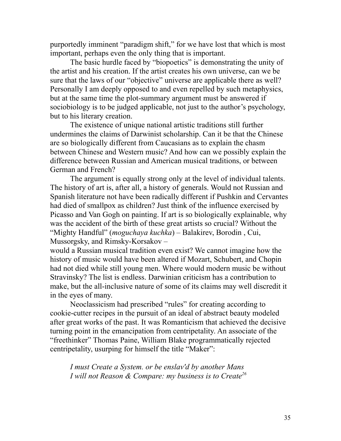purportedly imminent "paradigm shift," for we have lost that which is most important, perhaps even the only thing that is important.

The basic hurdle faced by "biopoetics" is demonstrating the unity of the artist and his creation. If the artist creates his own universe, can we be sure that the laws of our "objective" universe are applicable there as well? Personally I am deeply opposed to and even repelled by such metaphysics, but at the same time the plot-summary argument must be answered if sociobiology is to be judged applicable, not just to the author's psychology, but to his literary creation.

The existence of unique national artistic traditions still further undermines the claims of Darwinist scholarship. Can it be that the Chinese are so biologically different from Caucasians as to explain the chasm between Chinese and Western music? And how can we possibly explain the difference between Russian and American musical traditions, or between German and French?

The argument is equally strong only at the level of individual talents. The history of art is, after all, a history of generals. Would not Russian and Spanish literature not have been radically different if Pushkin and Cervantes had died of smallpox as children? Just think of the influence exercised by Picasso and Van Gogh on painting. If art is so biologically explainable, why was the accident of the birth of these great artists so crucial? Without the "Mighty Handful" (*moguchaya kuchka*) – Balakirev, Borodin , Cui, Mussorgsky, and Rimsky-Korsakov –

would a Russian musical tradition even exist? We cannot imagine how the history of music would have been altered if Mozart, Schubert, and Chopin had not died while still young men. Where would modern music be without Stravinsky? The list is endless. Darwinian criticism has a contribution to make, but the all-inclusive nature of some of its claims may well discredit it in the eyes of many.

Neoclassicism had prescribed "rules" for creating according to cookie-cutter recipes in the pursuit of an ideal of abstract beauty modeled after great works of the past. It was Romanticism that achieved the decisive turning point in the emancipation from centripetality. An associate of the "freethinker" Thomas Paine, William Blake programmatically rejected centripetality, usurping for himself the title "Maker":

*I must Create a System. or be enslav'd by another Mans I will not Reason & Compare: my business is to Create[26](#page--1-25)*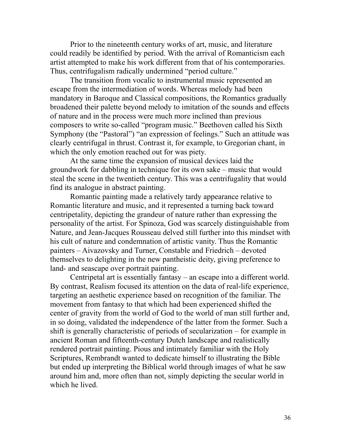Prior to the nineteenth century works of art, music, and literature could readily be identified by period. With the arrival of Romanticism each artist attempted to make his work different from that of his contemporaries. Thus, centrifugalism radically undermined "period culture."

The transition from vocalic to instrumental music represented an escape from the intermediation of words. Whereas melody had been mandatory in Baroque and Classical compositions, the Romantics gradually broadened their palette beyond melody to imitation of the sounds and effects of nature and in the process were much more inclined than previous composers to write so-called "program music." Beethoven called his Sixth Symphony (the "Pastoral") "an expression of feelings." Such an attitude was clearly centrifugal in thrust. Contrast it, for example, to Gregorian chant, in which the only emotion reached out for was piety.

At the same time the expansion of musical devices laid the groundwork for dabbling in technique for its own sake – music that would steal the scene in the twentieth century. This was a centrifugality that would find its analogue in abstract painting.

Romantic painting made a relatively tardy appearance relative to Romantic literature and music, and it represented a turning back toward centripetality, depicting the grandeur of nature rather than expressing the personality of the artist. For Spinoza, God was scarcely distinguishable from Nature, and Jean-Jacques Rousseau delved still further into this mindset with his cult of nature and condemnation of artistic vanity. Thus the Romantic painters – Aivazovsky and Turner, Constable and Friedrich – devoted themselves to delighting in the new pantheistic deity, giving preference to land- and seascape over portrait painting.

Centripetal art is essentially fantasy – an escape into a different world. By contrast, Realism focused its attention on the data of real-life experience, targeting an aesthetic experience based on recognition of the familiar. The movement from fantasy to that which had been experienced shifted the center of gravity from the world of God to the world of man still further and, in so doing, validated the independence of the latter from the former. Such a shift is generally characteristic of periods of secularization – for example in ancient Roman and fifteenth-century Dutch landscape and realistically rendered portrait painting. Pious and intimately familiar with the Holy Scriptures, Rembrandt wanted to dedicate himself to illustrating the Bible but ended up interpreting the Biblical world through images of what he saw around him and, more often than not, simply depicting the secular world in which he lived.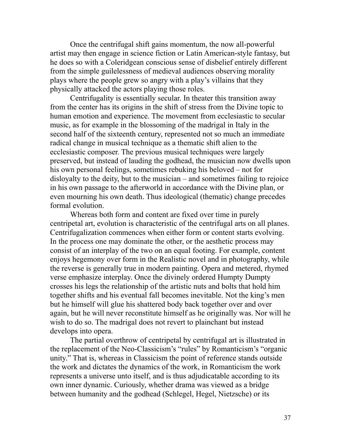Once the centrifugal shift gains momentum, the now all-powerful artist may then engage in science fiction or Latin American-style fantasy, but he does so with a Coleridgean conscious sense of disbelief entirely different from the simple guilelessness of medieval audiences observing morality plays where the people grew so angry with a play's villains that they physically attacked the actors playing those roles.

Centrifugality is essentially secular. In theater this transition away from the center has its origins in the shift of stress from the Divine topic to human emotion and experience. The movement from ecclesiastic to secular music, as for example in the blossoming of the madrigal in Italy in the second half of the sixteenth century, represented not so much an immediate radical change in musical technique as a thematic shift alien to the ecclesiastic composer. The previous musical techniques were largely preserved, but instead of lauding the godhead, the musician now dwells upon his own personal feelings, sometimes rebuking his beloved – not for disloyalty to the deity, but to the musician – and sometimes failing to rejoice in his own passage to the afterworld in accordance with the Divine plan, or even mourning his own death. Thus ideological (thematic) change precedes formal evolution.

Whereas both form and content are fixed over time in purely centripetal art, evolution is characteristic of the centrifugal arts on all planes. Centrifugalization commences when either form or content starts evolving. In the process one may dominate the other, or the aesthetic process may consist of an interplay of the two on an equal footing. For example, content enjoys hegemony over form in the Realistic novel and in photography, while the reverse is generally true in modern painting. Opera and metered, rhymed verse emphasize interplay. Once the divinely ordered Humpty Dumpty crosses his legs the relationship of the artistic nuts and bolts that hold him together shifts and his eventual fall becomes inevitable. Not the king's men but he himself will glue his shattered body back together over and over again, but he will never reconstitute himself as he originally was. Nor will he wish to do so. The madrigal does not revert to plainchant but instead develops into opera.

The partial overthrow of centripetal by centrifugal art is illustrated in the replacement of the Neo-Classicism's "rules" by Romanticism's "organic unity." That is, whereas in Classicism the point of reference stands outside the work and dictates the dynamics of the work, in Romanticism the work represents a universe unto itself, and is thus adjudicatable according to its own inner dynamic. Curiously, whether drama was viewed as a bridge between humanity and the godhead (Schlegel, Hegel, Nietzsche) or its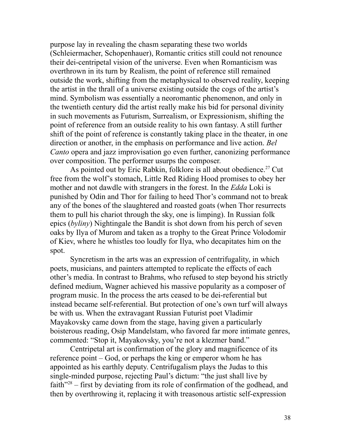purpose lay in revealing the chasm separating these two worlds (Schleiermacher, Schopenhauer), Romantic critics still could not renounce their dei-centripetal vision of the universe. Even when Romanticism was overthrown in its turn by Realism, the point of reference still remained outside the work, shifting from the metaphysical to observed reality, keeping the artist in the thrall of a universe existing outside the cogs of the artist's mind. Symbolism was essentially a neoromantic phenomenon, and only in the twentieth century did the artist really make his bid for personal divinity in such movements as Futurism, Surrealism, or Expressionism, shifting the point of reference from an outside reality to his own fantasy. A still further shift of the point of reference is constantly taking place in the theater, in one direction or another, in the emphasis on performance and live action. *Bel Canto* opera and jazz improvisation go even further, canonizing performance over composition. The performer usurps the composer.

As pointed out by Eric Rabkin, folklore is all about obedience.<sup>[27](#page--1-26)</sup> Cut free from the wolf's stomach, Little Red Riding Hood promises to obey her mother and not dawdle with strangers in the forest. In the *Edda* Loki is punished by Odin and Thor for failing to heed Thor's command not to break any of the bones of the slaughtered and roasted goats (when Thor resurrects them to pull his chariot through the sky, one is limping). In Russian folk epics (*byliny*) Nightingale the Bandit is shot down from his perch of seven oaks by Ilya of Murom and taken as a trophy to the Great Prince Volodomir of Kiev, where he whistles too loudly for Ilya, who decapitates him on the spot.

Syncretism in the arts was an expression of centrifugality, in which poets, musicians, and painters attempted to replicate the effects of each other's media. In contrast to Brahms, who refused to step beyond his strictly defined medium, Wagner achieved his massive popularity as a composer of program music. In the process the arts ceased to be dei-referential but instead became self-referential. But protection of one's own turf will always be with us. When the extravagant Russian Futurist poet Vladimir Mayakovsky came down from the stage, having given a particularly boisterous reading, Osip Mandelstam, who favored far more intimate genres, commented: "Stop it, Mayakovsky, you're not a klezmer band."

Centripetal art is confirmation of the glory and magnificence of its reference point – God, or perhaps the king or emperor whom he has appointed as his earthly deputy. Centrifugalism plays the Judas to this single-minded purpose, rejecting Paul's dictum: "the just shall live by faith<sup>"[28](#page--1-27)</sup> – first by deviating from its role of confirmation of the godhead, and then by overthrowing it, replacing it with treasonous artistic self-expression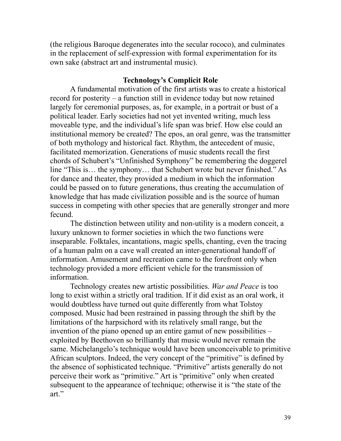(the religious Baroque degenerates into the secular rococo), and culminates in the replacement of self-expression with formal experimentation for its own sake (abstract art and instrumental music).

### **Technology's Complicit Role**

A fundamental motivation of the first artists was to create a historical record for posterity – a function still in evidence today but now retained largely for ceremonial purposes, as, for example, in a portrait or bust of a political leader. Early societies had not yet invented writing, much less moveable type, and the individual's life span was brief. How else could an institutional memory be created? The epos, an oral genre, was the transmitter of both mythology and historical fact. Rhythm, the antecedent of music, facilitated memorization. Generations of music students recall the first chords of Schubert's "Unfinished Symphony" be remembering the doggerel line "This is… the symphony… that Schubert wrote but never finished." As for dance and theater, they provided a medium in which the information could be passed on to future generations, thus creating the accumulation of knowledge that has made civilization possible and is the source of human success in competing with other species that are generally stronger and more fecund.

The distinction between utility and non-utility is a modern conceit, a luxury unknown to former societies in which the two functions were inseparable. Folktales, incantations, magic spells, chanting, even the tracing of a human palm on a cave wall created an inter-generational handoff of information. Amusement and recreation came to the forefront only when technology provided a more efficient vehicle for the transmission of information.

Technology creates new artistic possibilities. *War and Peace* is too long to exist within a strictly oral tradition. If it did exist as an oral work, it would doubtless have turned out quite differently from what Tolstoy composed. Music had been restrained in passing through the shift by the limitations of the harpsichord with its relatively small range, but the invention of the piano opened up an entire gamut of new possibilities – exploited by Beethoven so brilliantly that music would never remain the same. Michelangelo's technique would have been unconceivable to primitive African sculptors. Indeed, the very concept of the "primitive" is defined by the absence of sophisticated technique. "Primitive" artists generally do not perceive their work as "primitive." Art is "primitive" only when created subsequent to the appearance of technique; otherwise it is "the state of the art."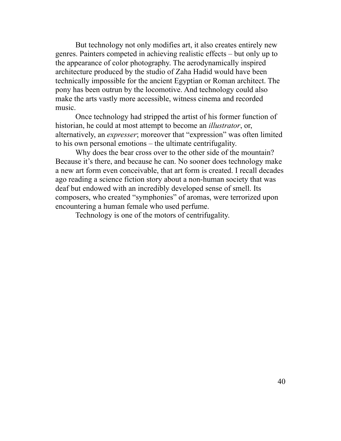But technology not only modifies art, it also creates entirely new genres. Painters competed in achieving realistic effects – but only up to the appearance of color photography. The aerodynamically inspired architecture produced by the studio of Zaha Hadid would have been technically impossible for the ancient Egyptian or Roman architect. The pony has been outrun by the locomotive. And technology could also make the arts vastly more accessible, witness cinema and recorded music.

Once technology had stripped the artist of his former function of historian, he could at most attempt to become an *illustrator*, or, alternatively, an *expresser*; moreover that "expression" was often limited to his own personal emotions – the ultimate centrifugality.

Why does the bear cross over to the other side of the mountain? Because it's there, and because he can. No sooner does technology make a new art form even conceivable, that art form is created. I recall decades ago reading a science fiction story about a non-human society that was deaf but endowed with an incredibly developed sense of smell. Its composers, who created "symphonies" of aromas, were terrorized upon encountering a human female who used perfume.

Technology is one of the motors of centrifugality.